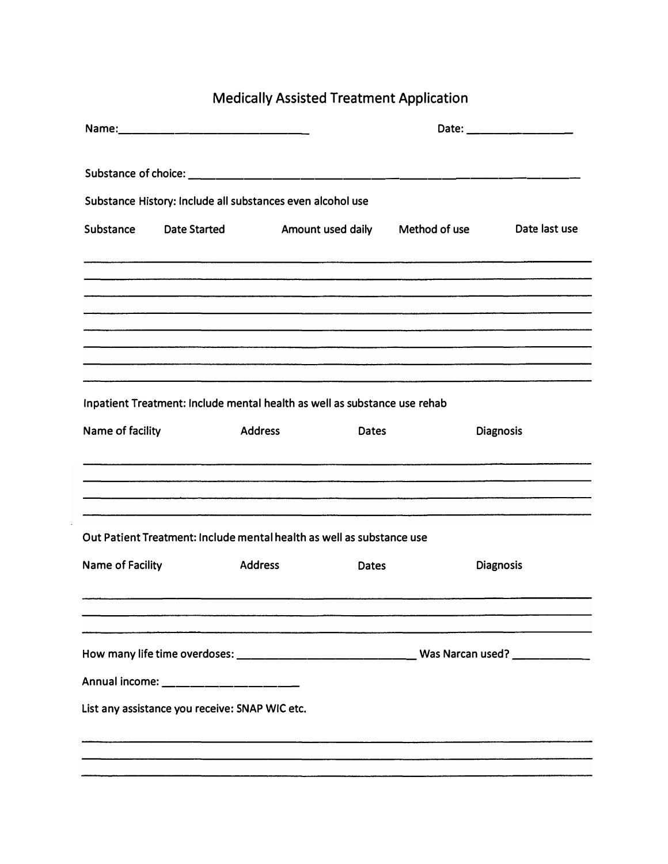## Medically Assisted Treatment Application

|                  |                                                |                                                                           |              |                                 | Date: ________________ |
|------------------|------------------------------------------------|---------------------------------------------------------------------------|--------------|---------------------------------|------------------------|
|                  |                                                |                                                                           |              |                                 |                        |
|                  |                                                | Substance History: Include all substances even alcohol use                |              |                                 |                        |
| Substance        | <b>Date Started</b>                            |                                                                           |              | Amount used daily Method of use | Date last use          |
|                  |                                                |                                                                           |              |                                 |                        |
|                  |                                                |                                                                           |              |                                 |                        |
|                  |                                                |                                                                           |              |                                 |                        |
|                  |                                                | Inpatient Treatment: Include mental health as well as substance use rehab |              |                                 |                        |
| Name of facility |                                                | <b>Address</b>                                                            | <b>Dates</b> |                                 | <b>Diagnosis</b>       |
|                  |                                                |                                                                           |              |                                 |                        |
|                  |                                                |                                                                           |              |                                 |                        |
|                  |                                                |                                                                           |              |                                 |                        |
|                  |                                                |                                                                           |              |                                 |                        |
|                  |                                                | Out Patient Treatment: Include mental health as well as substance use     |              |                                 |                        |
| Name of Facility |                                                | <b>Address</b>                                                            | <b>Dates</b> |                                 | <b>Diagnosis</b>       |
|                  |                                                |                                                                           |              |                                 |                        |
|                  |                                                |                                                                           |              |                                 |                        |
|                  |                                                |                                                                           |              |                                 |                        |
|                  | Annual income: _______________                 |                                                                           |              |                                 |                        |
|                  | List any assistance you receive: SNAP WIC etc. |                                                                           |              |                                 |                        |
|                  |                                                |                                                                           |              |                                 |                        |